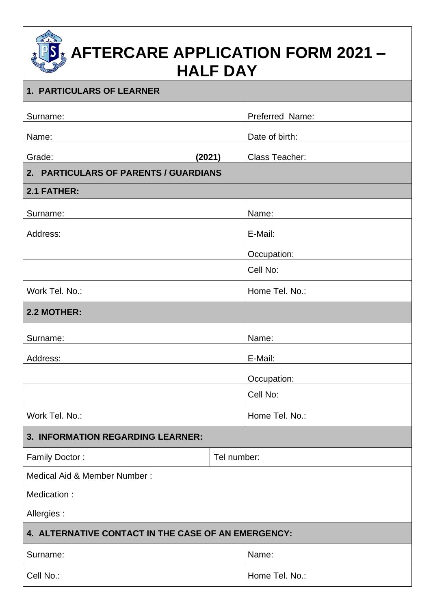# **AFTERCARE APPLICATION FORM 2021 – HALF DAY**

| 1. PARTICULARS OF LEARNER                           |  |                       |  |  |  |
|-----------------------------------------------------|--|-----------------------|--|--|--|
| Surname:                                            |  | Preferred Name:       |  |  |  |
| Name:                                               |  | Date of birth:        |  |  |  |
| Grade:<br>(2021)                                    |  | <b>Class Teacher:</b> |  |  |  |
| 2. PARTICULARS OF PARENTS / GUARDIANS               |  |                       |  |  |  |
| 2.1 FATHER:                                         |  |                       |  |  |  |
| Surname:                                            |  | Name:                 |  |  |  |
| Address:                                            |  | E-Mail:               |  |  |  |
|                                                     |  | Occupation:           |  |  |  |
|                                                     |  | Cell No:              |  |  |  |
| Work Tel. No.:                                      |  | Home Tel. No.:        |  |  |  |
| 2.2 MOTHER:                                         |  |                       |  |  |  |
| Surname:                                            |  | Name:                 |  |  |  |
| Address:                                            |  | E-Mail:               |  |  |  |
|                                                     |  | Occupation:           |  |  |  |
|                                                     |  | Cell No:              |  |  |  |
| Work Tel. No.:                                      |  | Home Tel. No.:        |  |  |  |
| 3. INFORMATION REGARDING LEARNER:                   |  |                       |  |  |  |
| Family Doctor:                                      |  | Tel number:           |  |  |  |
| Medical Aid & Member Number:                        |  |                       |  |  |  |
| Medication:                                         |  |                       |  |  |  |
| Allergies:                                          |  |                       |  |  |  |
| 4. ALTERNATIVE CONTACT IN THE CASE OF AN EMERGENCY: |  |                       |  |  |  |
| Surname:                                            |  | Name:                 |  |  |  |
| Cell No.:                                           |  | Home Tel. No.:        |  |  |  |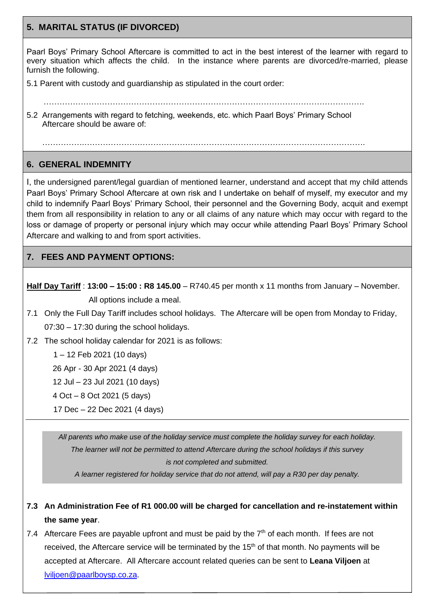## **5. MARITAL STATUS (IF DIVORCED)**

Paarl Boys' Primary School Aftercare is committed to act in the best interest of the learner with regard to every situation which affects the child. In the instance where parents are divorced/re-married, please furnish the following.

- 5.1 Parent with custody and guardianship as stipulated in the court order:
- …………………………………………………………………………………………………………. 5.2 Arrangements with regard to fetching, weekends, etc. which Paarl Boys' Primary School Aftercare should be aware of:

…………….…………………………………………………………………………………………….

### **6. GENERAL INDEMNITY**

 $\overline{a}$ 

I, the undersigned parent/legal guardian of mentioned learner, understand and accept that my child attends Paarl Boys' Primary School Aftercare at own risk and I undertake on behalf of myself, my executor and my child to indemnify Paarl Boys' Primary School, their personnel and the Governing Body, acquit and exempt them from all responsibility in relation to any or all claims of any nature which may occur with regard to the loss or damage of property or personal injury which may occur while attending Paarl Boys' Primary School Aftercare and walking to and from sport activities.

## **7. FEES AND PAYMENT OPTIONS:**

**Half Day Tariff** : **13:00 – 15:00 : R8 145.00** – R740.45 per month x 11 months from January – November. All options include a meal.

- 7.1 Only the Full Day Tariff includes school holidays. The Aftercare will be open from Monday to Friday, 07:30 – 17:30 during the school holidays.
- 7.2 The school holiday calendar for 2021 is as follows:
	- 1 12 Feb 2021 (10 days)
	- 26 Apr 30 Apr 2021 (4 days)

12 Jul – 23 Jul 2021 (10 days)

- 4 Oct 8 Oct 2021 (5 days)
- 17 Dec 22 Dec 2021 (4 days)

*All parents who make use of the holiday service must complete the holiday survey for each holiday. The learner will not be permitted to attend Aftercare during the school holidays if this survey is not completed and submitted.*

*A learner registered for holiday service that do not attend, will pay a R30 per day penalty.*

- **7.3 An Administration Fee of R1 000.00 will be charged for cancellation and re-instatement within the same year**.
- 7.4 Aftercare Fees are payable upfront and must be paid by the  $7<sup>th</sup>$  of each month. If fees are not received, the Aftercare service will be terminated by the  $15<sup>th</sup>$  of that month. No payments will be accepted at Aftercare. All Aftercare account related queries can be sent to **Leana Viljoen** at [lviljoen@paarlboysp.co.za.](mailto:lviljoen@paarlboysp.co.za)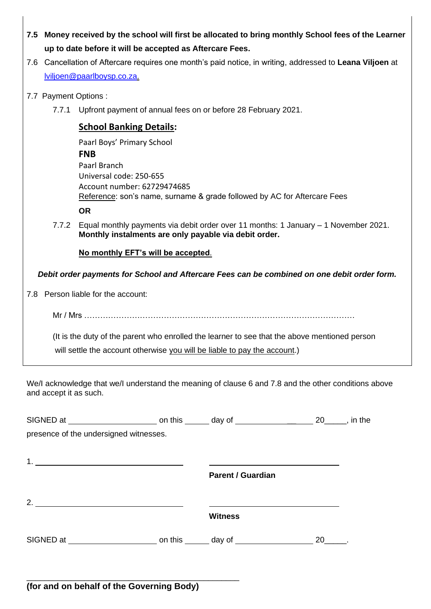| 7.5 Money received by the school will first be allocated to bring monthly School fees of the Learner |
|------------------------------------------------------------------------------------------------------|
| up to date before it will be accepted as Aftercare Fees.                                             |

- 7.6 Cancellation of Aftercare requires one month's paid notice, in writing, addressed to **Leana Viljoen** at [lviljoen@paarlboysp.co.za.](mailto:lviljoen@paarlboysp.co.za)
- 7.7 Payment Options :
	- 7.7.1 Upfront payment of annual fees on or before 28 February 2021.

## **School Banking Details:**

| Paarl Boys' Primary School                                               |
|--------------------------------------------------------------------------|
| <b>FNB</b>                                                               |
| Paarl Branch                                                             |
| Universal code: 250-655                                                  |
| Account number: 62729474685                                              |
| Reference: son's name, surname & grade followed by AC for Aftercare Fees |
| OR                                                                       |

7.7.2 Equal monthly payments via debit order over 11 months: 1 January – 1 November 2021. **Monthly instalments are only payable via debit order.** 

**No monthly EFT's will be accepted**.

*Debit order payments for School and Aftercare Fees can be combined on one debit order form.*

7.8 Person liable for the account:

Mr / Mrs …………………………………………………………………………………………

 (It is the duty of the parent who enrolled the learner to see that the above mentioned person will settle the account otherwise you will be liable to pay the account.)

We/I acknowledge that we/I understand the meaning of clause 6 and 7.8 and the other conditions above and accept it as such.

| presence of the undersigned witnesses. |                          |      |  |
|----------------------------------------|--------------------------|------|--|
|                                        |                          |      |  |
|                                        | <b>Parent / Guardian</b> |      |  |
| 2. $\overline{\phantom{a}}$            |                          |      |  |
|                                        | <b>Witness</b>           |      |  |
|                                        |                          | 20 . |  |